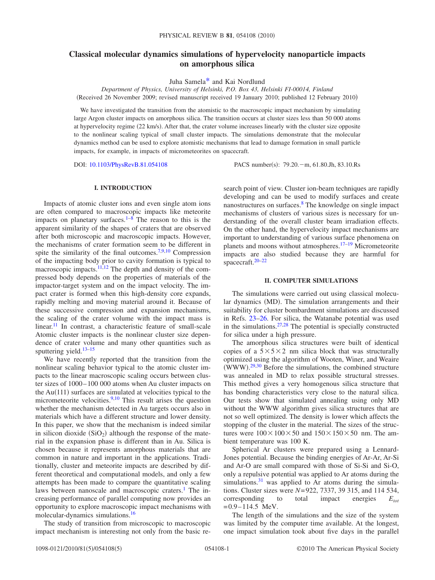# **Classical molecular dynamics simulations of hypervelocity nanoparticle impacts on amorphous silica**

Juha Samel[a\\*](#page-3-0) and Kai Nordlund

*Department of Physics, University of Helsinki, P.O. Box 43, Helsinki FI-00014, Finland* Received 26 November 2009; revised manuscript received 19 January 2010; published 12 February 2010-

We have investigated the transition from the atomistic to the macroscopic impact mechanism by simulating large Argon cluster impacts on amorphous silica. The transition occurs at cluster sizes less than 50 000 atoms at hypervelocity regime (22 km/s). After that, the crater volume increases linearly with the cluster size opposite to the nonlinear scaling typical of small cluster impacts. The simulations demonstrate that the molecular dynamics method can be used to explore atomistic mechanisms that lead to damage formation in small particle impacts, for example, in impacts of micrometeorites on spacecraft.

DOI: [10.1103/PhysRevB.81.054108](http://dx.doi.org/10.1103/PhysRevB.81.054108)

PACS number(s): 79.20. - m, 61.80.Jh, 83.10.Rs

#### **I. INTRODUCTION**

Impacts of atomic cluster ions and even single atom ions are often compared to macroscopic impacts like meteorite impacts on planetary surfaces. $1-8$  The reason to this is the apparent similarity of the shapes of craters that are observed after both microscopic and macroscopic impacts. However, the mechanisms of crater formation seem to be different in spite the similarity of the final outcomes.<sup>7[,9](#page-3-4)[,10](#page-3-5)</sup> Compression of the impacting body prior to cavity formation is typical to macroscopic impacts.<sup>11[,12](#page-3-7)</sup> The depth and density of the compressed body depends on the properties of materials of the impactor-target system and on the impact velocity. The impact crater is formed when this high-density core expands, rapidly melting and moving material around it. Because of these successive compression and expansion mechanisms, the scaling of the crater volume with the impact mass is linear.<sup>11</sup> In contrast, a characteristic feature of small-scale Atomic cluster impacts is the nonlinear cluster size dependence of crater volume and many other quantities such as sputtering yield.<sup>13-[15](#page-3-9)</sup>

We have recently reported that the transition from the nonlinear scaling behavior typical to the atomic cluster impacts to the linear macroscopic scaling occurs between cluster sizes of 1000–100 000 atoms when Au cluster impacts on the  $Au(111)$  surfaces are simulated at velocities typical to the micrometeorite velocities. $9,10$  $9,10$  This result arises the question whether the mechanism detected in Au targets occurs also in materials which have a different structure and lower density. In this paper, we show that the mechanism is indeed similar in silicon dioxide  $(SiO<sub>2</sub>)$  although the response of the material in the expansion phase is different than in Au. Silica is chosen because it represents amorphous materials that are common in nature and important in the applications. Traditionally, cluster and meteorite impacts are described by different theoretical and computational models, and only a few attempts has been made to compare the quantitative scaling laws between nanoscale and macroscopic craters.<sup>1</sup> The increasing performance of parallel computing now provides an opportunity to explore macroscopic impact mechanisms with molecular-dynamics simulations[.16](#page-3-10)

The study of transition from microscopic to macroscopic impact mechanism is interesting not only from the basic research point of view. Cluster ion-beam techniques are rapidly developing and can be used to modify surfaces and create nanostructures on surfaces[.8](#page-3-2) The knowledge on single impact mechanisms of clusters of various sizes is necessary for understanding of the overall cluster beam irradiation effects. On the other hand, the hypervelocity impact mechanisms are important to understanding of various surface phenomena on planets and moons without atmospheres[.17–](#page-3-11)[19](#page-4-0) Micrometeorite impacts are also studied because they are harmful for spacecraft.<sup>20[–22](#page-4-2)</sup>

#### **II. COMPUTER SIMULATIONS**

The simulations were carried out using classical molecular dynamics (MD). The simulation arrangements and their suitability for cluster bombardment simulations are discussed in Refs. [23–](#page-4-3)[26.](#page-4-4) For silica, the Watanabe potential was used in the simulations. $27,28$  $27,28$  The potential is specially constructed for silica under a high pressure.

The amorphous silica structures were built of identical copies of a  $5 \times 5 \times 2$  nm silica block that was structurally optimized using the algorithm of Wooten, Winer, and Weaire  $(WWW)$ <sup>[29](#page-4-7)[,30](#page-4-8)</sup> Before the simulations, the combined structure was annealed in MD to relax possible structural stresses. This method gives a very homogenous silica structure that has bonding characteristics very close to the natural silica. Our tests show that simulated annealing using only MD without the WWW algorithm gives silica structures that are not so well optimized. The density is lower which affects the stopping of the cluster in the material. The sizes of the structures were  $100 \times 100 \times 50$  and  $150 \times 150 \times 50$  nm. The ambient temperature was 100 K.

Spherical Ar clusters were prepared using a Lennard-Jones potential. Because the binding energies of Ar-Ar, Ar-Si and Ar-O are small compared with those of Si-Si and Si-O, only a repulsive potential was applied to Ar atoms during the simulations. $31$  was applied to Ar atoms during the simulations. Cluster sizes were *N*=922, 7337, 39 315, and 114 534, corresponding to total impact energies  $E_{tot}$  $=0.9-114.5$  MeV.

The length of the simulations and the size of the system was limited by the computer time available. At the longest, one impact simulation took about five days in the parallel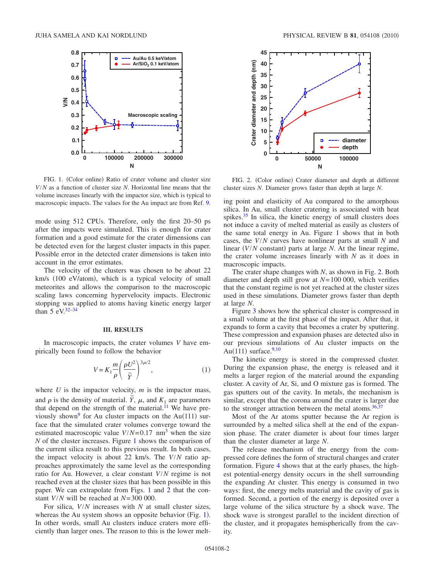<span id="page-1-0"></span>

FIG. 1. (Color online) Ratio of crater volume and cluster size *V*/*N* as a function of cluster size *N*. Horizontal line means that the volume increases linearly with the impactor size, which is typical to macroscopic impacts. The values for the Au impact are from Ref. [9.](#page-3-4)

mode using 512 CPUs. Therefore, only the first 20–50 ps after the impacts were simulated. This is enough for crater formation and a good estimate for the crater dimensions can be detected even for the largest cluster impacts in this paper. Possible error in the detected crater dimensions is taken into account in the error estimates.

The velocity of the clusters was chosen to be about 22 km/s (100 eV/atom), which is a typical velocity of small meteorites and allows the comparison to the macroscopic scaling laws concerning hypervelocity impacts. Electronic stopping was applied to atoms having kinetic energy larger than 5 eV. $32-34$  $32-34$ 

### **III. RESULTS**

In macroscopic impacts, the crater volumes *V* have empirically been found to follow the behavior

$$
V = K_1 \frac{m}{\rho} \left(\frac{\rho U^2}{\bar{Y}}\right)^{3\mu/2},\tag{1}
$$

where *U* is the impactor velocity, *m* is the impactor mass, and  $\rho$  is the density of material.  $\overline{Y}$ ,  $\mu$ , and  $K_1$  are parameters that depend on the strength of the material.<sup>11</sup> We have previously shown<sup>9</sup> for Au cluster impacts on the Au(111) surface that the simulated crater volumes converge toward the estimated macroscopic value  $V/N = 0.17$  nm<sup>3</sup> when the size *N* of the cluster increases. Figure [1](#page-1-0) shows the comparison of the current silica result to this previous result. In both cases, the impact velocity is about 22 km/s. The *V*/*N* ratio approaches approximately the same level as the corresponding ratio for Au. However, a clear constant *V*/*N* regime is not reached even at the cluster sizes that has been possible in this paper. We can extrapolate from Figs. [1](#page-1-0) and [2](#page-1-1) that the constant *V*/*N* will be reached at *N*=300 000.

For silica, *V*/*N* increases with *N* at small cluster sizes, whereas the Au system shows an opposite behavior (Fig.  $1$ ). In other words, small Au clusters induce craters more efficiently than larger ones. The reason to this is the lower melt-

<span id="page-1-1"></span>

FIG. 2. (Color online) Crater diameter and depth at different cluster sizes *N*. Diameter grows faster than depth at large *N*.

ing point and elasticity of Au compared to the amorphous silica. In Au, small cluster cratering is associated with heat spikes. $35$  In silica, the kinetic energy of small clusters does not induce a cavity of melted material as easily as clusters of the same total energy in Au. Figure [1](#page-1-0) shows that in both cases, the *V*/*N* curves have nonlinear parts at small *N* and linear  $(V/N)$  constant) parts at large *N*. At the linear regime, the crater volume increases linearly with *N* as it does in macroscopic impacts.

The crater shape changes with *N*, as shown in Fig. [2.](#page-1-1) Both diameter and depth still grow at *N*=100 000, which verifies that the constant regime is not yet reached at the cluster sizes used in these simulations. Diameter grows faster than depth at large *N*.

Figure [3](#page-2-0) shows how the spherical cluster is compressed in a small volume at the first phase of the impact. After that, it expands to form a cavity that becomes a crater by sputtering. These compression and expansion phases are detected also in our previous simulations of Au cluster impacts on the Au(111) surface. $9,10$  $9,10$ 

The kinetic energy is stored in the compressed cluster. During the expansion phase, the energy is released and it melts a larger region of the material around the expanding cluster. A cavity of Ar, Si, and O mixture gas is formed. The gas sputters out of the cavity. In metals, the mechanism is similar, except that the corona around the crater is larger due to the stronger attraction between the metal atoms. $36,37$  $36,37$ 

Most of the Ar atoms sputter because the Ar region is surrounded by a melted silica shell at the end of the expansion phase. The crater diameter is about four times larger than the cluster diameter at large *N*.

The release mechanism of the energy from the compressed core defines the form of structural changes and crater formation. Figure [4](#page-2-1) shows that at the early phases, the highest potential-energy density occurs in the shell surrounding the expanding Ar cluster. This energy is consumed in two ways: first, the energy melts material and the cavity of gas is formed. Second, a portion of the energy is deposited over a large volume of the silica structure by a shock wave. The shock wave is strongest parallel to the incident direction of the cluster, and it propagates hemispherically from the cavity.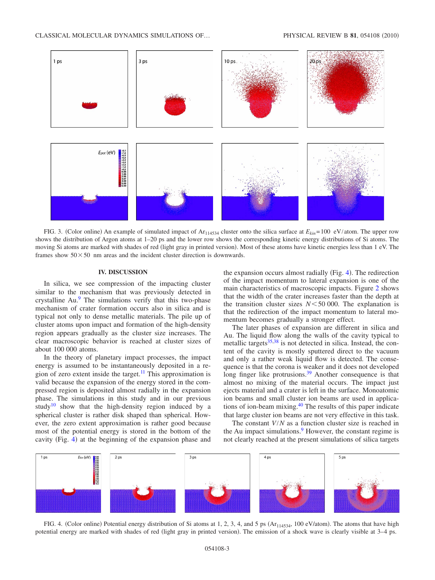<span id="page-2-0"></span>

FIG. 3. (Color online) An example of simulated impact of  $Ar_{114534}$  cluster onto the silica surface at  $E_{kin} = 100 \text{ eV/atom}$ . The upper row shows the distribution of Argon atoms at 1–20 ps and the lower row shows the corresponding kinetic energy distributions of Si atoms. The moving Si atoms are marked with shades of red (light gray in printed version). Most of these atoms have kinetic energies less than 1 eV. The frames show  $50 \times 50$  nm areas and the incident cluster direction is downwards.

## **IV. DISCUSSION**

In silica, we see compression of the impacting cluster similar to the mechanism that was previously detected in crystalline Au.<sup>9</sup> The simulations verify that this two-phase mechanism of crater formation occurs also in silica and is typical not only to dense metallic materials. The pile up of cluster atoms upon impact and formation of the high-density region appears gradually as the cluster size increases. The clear macroscopic behavior is reached at cluster sizes of about 100 000 atoms.

In the theory of planetary impact processes, the impact energy is assumed to be instantaneously deposited in a region of zero extent inside the target.<sup>11</sup> This approximation is valid because the expansion of the energy stored in the compressed region is deposited almost radially in the expansion phase. The simulations in this study and in our previous study<sup>10</sup> show that the high-density region induced by a spherical cluster is rather disk shaped than spherical. However, the zero extent approximation is rather good because most of the potential energy is stored in the bottom of the cavity (Fig. [4](#page-2-1)) at the beginning of the expansion phase and

the expansion occurs almost radially (Fig. [4](#page-2-1)). The redirection of the impact momentum to lateral expansion is one of the main characteristics of macroscopic impacts. Figure [2](#page-1-1) shows that the width of the crater increases faster than the depth at the transition cluster sizes  $N < 50 000$ . The explanation is that the redirection of the impact momentum to lateral momentum becomes gradually a stronger effect.

The later phases of expansion are different in silica and Au. The liquid flow along the walls of the cavity typical to metallic targets $35,38$  $35,38$  is not detected in silica. Instead, the content of the cavity is mostly sputtered direct to the vacuum and only a rather weak liquid flow is detected. The consequence is that the corona is weaker and it does not developed long finger like protrusions.<sup>39</sup> Another consequence is that almost no mixing of the material occurs. The impact just ejects material and a crater is left in the surface. Monoatomic ion beams and small cluster ion beams are used in applications of ion-beam mixing. $40$  The results of this paper indicate that large cluster ion beams are not very effective in this task.

The constant *V*/*N* as a function cluster size is reached in the Au impact simulations. $9$  However, the constant regime is not clearly reached at the present simulations of silica targets

<span id="page-2-1"></span>

FIG. 4. (Color online) Potential energy distribution of Si atoms at 1, 2, 3, 4, and 5 ps  $(Ar_{114534}, 100 \text{ eV/atom})$ . The atoms that have high potential energy are marked with shades of red (light gray in printed version). The emission of a shock wave is clearly visible at 3–4 ps.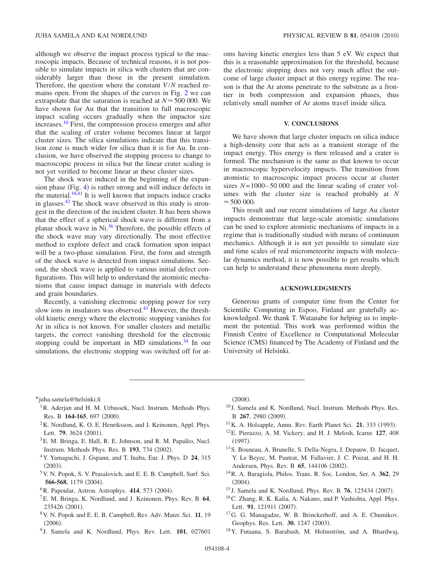although we observe the impact process typical to the macroscopic impacts. Because of technical reasons, it is not possible to simulate impacts in silica with clusters that are considerably larger than those in the present simulation. Therefore, the question where the constant *V*/*N* reached remains open. From the shapes of the curves in Fig. [2](#page-1-1) we can extrapolate that the saturation is reached at  $N \approx 500 000$ . We have shown for Au that the transition to full macroscopic impact scaling occurs gradually when the impactor size increases.<sup>10</sup> First, the compression process emerges and after that the scaling of crater volume becomes linear at larger cluster sizes. The silica simulations indicate that this transition zone is much wider for silica than it is for Au. In conclusion, we have observed the stopping process to change to macroscopic process in silica but the linear crater scaling is not yet verified to become linear at these cluster sizes.

The shock wave induced in the beginning of the expan-sion phase (Fig. [4](#page-2-1)) is rather strong and will induce defects in the material. $16,41$  $16,41$  It is well known that impacts induce cracks in glasses. $42$  The shock wave observed in this study is strongest in the direction of the incident cluster. It has been shown that the effect of a spherical shock wave is different from a planar shock wave in Ni[.36](#page-4-13) Therefore, the possible effects of the shock wave may vary directionally. The most effective method to explore defect and crack formation upon impact will be a two-phase simulation. First, the form and strength of the shock wave is detected from impact simulations. Second, the shock wave is applied to various initial defect configurations. This will help to understand the atomistic mechanisms that cause impact damage in materials with defects and grain boundaries.

Recently, a vanishing electronic stopping power for very slow ions in insulators was observed. $43$  However, the threshold kinetic energy where the electronic stopping vanishes for Ar in silica is not known. For smaller clusters and metallic targets, the correct vanishing threshold for the electronic stopping could be important in MD simulations. $34$  In our simulations, the electronic stopping was switched off for atoms having kinetic energies less than 5 eV. We expect that this is a reasonable approximation for the threshold, because the electronic stopping does not very much affect the outcome of large cluster impact at this energy regime. The reason is that the Ar atoms penetrate to the substrate as a frontier in both compression and expansion phases, thus relatively small number of Ar atoms travel inside silica.

# **V. CONCLUSIONS**

We have shown that large cluster impacts on silica induce a high-density core that acts as a transient storage of the impact energy. This energy is then released and a crater is formed. The mechanism is the same as that known to occur in macroscopic hypervelocity impacts. The transition from atomistic to macroscopic impact process occur at cluster sizes *N*=1000–50 000 and the linear scaling of crater volumes with the cluster size is reached probably at *N*  $\approx$  500 000.

This result and our recent simulations of large Au cluster impacts demonstrate that large-scale atomistic simulations can be used to explore atomistic mechanisms of impacts in a regime that is traditionally studied with means of continuum mechanics. Although it is not yet possible to simulate size and time scales of real micrometeorite impacts with molecular dynamics method, it is now possible to get results which can help to understand these phenomena more deeply.

## **ACKNOWLEDGMENTS**

Generous grants of computer time from the Center for Scientific Computing in Espoo, Finland are gratefully acknowledged. We thank T. Watanabe for helping us to implement the potential. This work was performed within the Finnish Centre of Excellence in Computational Molecular Science (CMS) financed by The Academy of Finland and the University of Helsinki.

<span id="page-3-0"></span>\*juha.samela@helsinki.fi

- <span id="page-3-1"></span><sup>1</sup>R. Aderjan and H. M. Urbassek, Nucl. Instrum. Methods Phys. Res. B **164-165**, 697 (2000).
- $2K$ . Nordlund, K. O. E. Henriksson, and J. Keinonen, Appl. Phys. Lett. **79**, 3624 (2001).
- <sup>3</sup>E. M. Bringa, E. Hall, R. E. Johnson, and R. M. Papalèo, Nucl. Instrum. Methods Phys. Res. B 193, 734 (2002).
- 4Y. Yamaguchi, J. Gspann, and T. Inaba, Eur. J. Phys. D **24**, 315  $(2003).$
- 5V. N. Popok, S. V. Prasalovich, and E. E. B. Campbell, Surf. Sci. **566-568**, 1179 (2004).
- <sup>6</sup> R. Papoular, Astron. Astrophys. **414**, 573 (2004).
- <span id="page-3-3"></span>7E. M. Bringa, K. Nordlund, and J. Keinonen, Phys. Rev. B **64**, 235426 (2001).
- <span id="page-3-2"></span>8V. N. Popok and E. E. B. Campbell, Rev. Adv. Mater. Sci. **11**, 19  $(2006).$
- <span id="page-3-4"></span><sup>9</sup> J. Samela and K. Nordlund, Phys. Rev. Lett. **101**, 027601

 $(2008).$ 

- <span id="page-3-5"></span><sup>10</sup> J. Samela and K. Nordlund, Nucl. Instrum. Methods Phys. Res. B **267**, 2980 (2009).
- <span id="page-3-6"></span><sup>11</sup> K. A. Holsapple, Annu. Rev. Earth Planet Sci. **21**, 333 (1993).
- <span id="page-3-7"></span>12E. Pierazzo, A. M. Vickery, and H. J. Melosh, Icarus **127**, 408  $(1997).$
- <span id="page-3-8"></span>13S. Bouneau, A. Brunelle, S. Della-Negra, J. Depauw, D. Jacquet, Y. Le Beyec, M. Pautrat, M. Fallavier, J. C. Poizat, and H. H. Andersen, Phys. Rev. B **65**, 144106 (2002).
- 14R. A. Baragiola, Philos. Trans. R. Soc. London, Ser. A **362**, 29  $(2004).$
- <span id="page-3-9"></span><sup>15</sup> J. Samela and K. Nordlund, Phys. Rev. B **76**, 125434 (2007).
- <span id="page-3-10"></span>16C. Zhang, R. K. Kalia, A. Nakano, and P. Vashishta, Appl. Phys. Lett. **91**, 121911 (2007).
- <span id="page-3-11"></span><sup>17</sup>G. G. Managadze, W. B. Brinckerhoff, and A. E. Chumikov, Geophys. Res. Lett. **30**, 1247 (2003).
- 18Y. Futaana, S. Barabash, M. Holmström, and A. Bhardwaj,